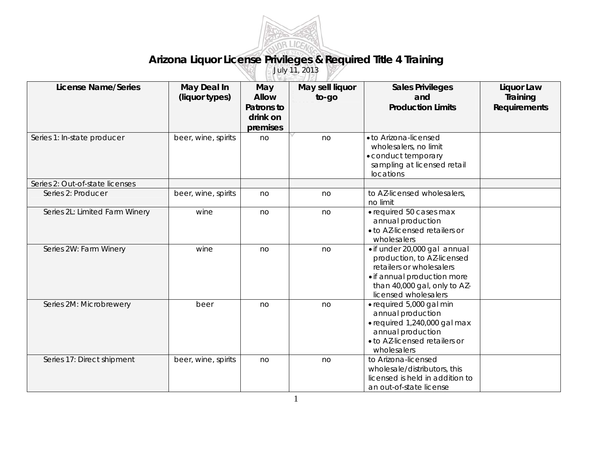

## **Arizona Liquor License Privileges & Required Title 4 Training**

July 11, 2013

| <b>License Name/Series</b>      | May Deal In<br>(liquor types) | May<br><b>Allow</b><br>Patrons to<br>drink on<br>premises | May sell liquor<br>to-go | <b>Sales Privileges</b><br>and<br><b>Production Limits</b>                                                                                                                    | Liquor Law<br>Training<br><b>Requirements</b> |
|---------------------------------|-------------------------------|-----------------------------------------------------------|--------------------------|-------------------------------------------------------------------------------------------------------------------------------------------------------------------------------|-----------------------------------------------|
| Series 1: In-state producer     | beer, wine, spirits           | no                                                        | no                       | · to Arizona-licensed<br>wholesalers, no limit<br>• conduct temporary<br>sampling at licensed retail<br>locations                                                             |                                               |
| Series 2: Out-of-state licenses |                               |                                                           |                          |                                                                                                                                                                               |                                               |
| Series 2: Producer              | beer, wine, spirits           | no                                                        | no                       | to AZ-licensed wholesalers,<br>no limit                                                                                                                                       |                                               |
| Series 2L: Limited Farm Winery  | wine                          | no                                                        | no                       | · required 50 cases max<br>annual production<br>• to AZ-licensed retailers or<br>wholesalers                                                                                  |                                               |
| Series 2W: Farm Winery          | wine                          | no                                                        | no                       | • if under 20,000 gal annual<br>production, to AZ-licensed<br>retailers or wholesalers<br>• if annual production more<br>than 40,000 gal, only to AZ-<br>licensed wholesalers |                                               |
| Series 2M: Microbrewery         | beer                          | no                                                        | no                       | · required 5,000 gal min<br>annual production<br>• required 1,240,000 gal max<br>annual production<br>. to AZ-licensed retailers or<br>wholesalers                            |                                               |
| Series 17: Direct shipment      | beer, wine, spirits           | no                                                        | no                       | to Arizona-licensed<br>wholesale/distributors, this<br>licensed is held in addition to<br>an out-of-state license                                                             |                                               |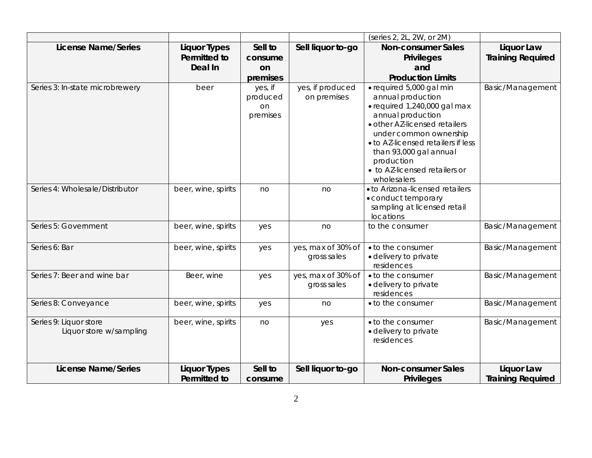|                                 |                     |          |                    | (series 2, 2L, 2W, or 2M)                          |                          |
|---------------------------------|---------------------|----------|--------------------|----------------------------------------------------|--------------------------|
| <b>License Name/Series</b>      | <b>Liquor Types</b> | Sell to  | Sell liquor to-go  | <b>Non-consumer Sales</b>                          | Liquor Law               |
|                                 | Permitted to        | consume  |                    | <b>Privileges</b>                                  | <b>Training Required</b> |
|                                 | Deal In             | on       |                    | and                                                |                          |
|                                 |                     | premises |                    | <b>Production Limits</b>                           |                          |
| Series 3: In-state microbrewery | beer                | yes, if  | yes, if produced   | · required 5,000 gal min                           | Basic/Management         |
|                                 |                     | produced | on premises        | annual production                                  |                          |
|                                 |                     | on       |                    | · required 1,240,000 gal max                       |                          |
|                                 |                     | premises |                    | annual production<br>· other AZ-licensed retailers |                          |
|                                 |                     |          |                    | under common ownership                             |                          |
|                                 |                     |          |                    | . to AZ-licensed retailers if less                 |                          |
|                                 |                     |          |                    | than 93,000 gal annual                             |                          |
|                                 |                     |          |                    | production                                         |                          |
|                                 |                     |          |                    | • to AZ-licensed retailers or                      |                          |
|                                 |                     |          |                    | wholesalers                                        |                          |
| Series 4: Wholesale/Distributor | beer, wine, spirits | no       | no                 | . to Arizona-licensed retailers                    |                          |
|                                 |                     |          |                    | • conduct temporary                                |                          |
|                                 |                     |          |                    | sampling at licensed retail                        |                          |
| Series 5: Government            |                     |          |                    | locations<br>to the consumer                       |                          |
|                                 | beer, wine, spirits | yes      | no                 |                                                    | Basic/Management         |
| Series 6: Bar                   | beer, wine, spirits | yes      | yes, max of 30% of | • to the consumer                                  | Basic/Management         |
|                                 |                     |          | gross sales        | · delivery to private                              |                          |
|                                 |                     |          |                    | residences                                         |                          |
| Series 7: Beer and wine bar     | Beer, wine          | yes      | yes, max of 30% of | • to the consumer                                  | Basic/Management         |
|                                 |                     |          | gross sales        | · delivery to private<br>residences                |                          |
| Series 8: Conveyance            | beer, wine, spirits | yes      | no                 | • to the consumer                                  | Basic/Management         |
|                                 |                     |          |                    |                                                    |                          |
| Series 9: Liquor store          | beer, wine, spirits | no       | yes                | • to the consumer                                  | Basic/Management         |
| Liquor store w/sampling         |                     |          |                    | · delivery to private                              |                          |
|                                 |                     |          |                    | residences                                         |                          |
|                                 |                     |          |                    |                                                    |                          |
| <b>License Name/Series</b>      | <b>Liquor Types</b> | Sell to  | Sell liquor to-go  | <b>Non-consumer Sales</b>                          | Liquor Law               |
|                                 | Permitted to        | consume  |                    | <b>Privileges</b>                                  | <b>Training Required</b> |